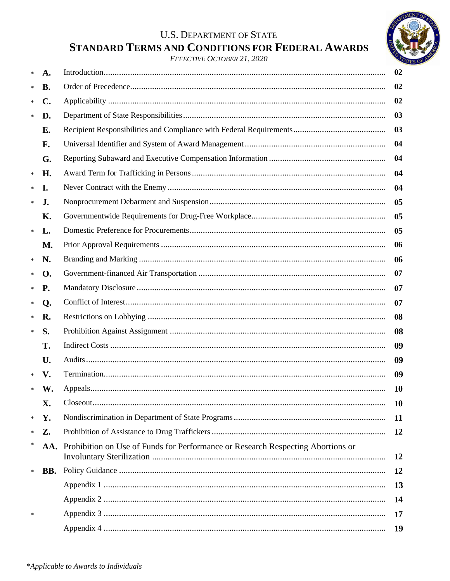# **U.S. DEPARTMENT OF STATE STANDARD TERMS AND CONDITIONS FOR FEDERAL AWARDS**



EFFECTIVE OCTOBER 21, 2020

| $\ast$ | A.             |                                                                                     | 02        |
|--------|----------------|-------------------------------------------------------------------------------------|-----------|
| $\ast$ | <b>B.</b>      |                                                                                     | 02        |
| $\ast$ | $\mathbf{C}$ . |                                                                                     | 02        |
| $\ast$ | D.             |                                                                                     | 03        |
|        | E.             |                                                                                     | 03        |
|        | F.             |                                                                                     | 04        |
|        | G.             |                                                                                     | 04        |
| $\ast$ | H.             |                                                                                     | 04        |
| $\ast$ | I.             |                                                                                     | 04        |
| $\ast$ | J.             |                                                                                     | 05        |
|        | Κ.             |                                                                                     | 05        |
| $\ast$ | L.             |                                                                                     | 05        |
|        | M.             |                                                                                     | 06        |
| $\ast$ | N.             |                                                                                     | 06        |
| $\ast$ | <b>O.</b>      |                                                                                     | 07        |
| $\ast$ | <b>P.</b>      |                                                                                     | 07        |
| $\ast$ | Q.             |                                                                                     | 07        |
| $\ast$ | R.             |                                                                                     | 08        |
| $\ast$ | S.             |                                                                                     | 08        |
|        | T.             |                                                                                     | 09        |
|        | U.             |                                                                                     | 09        |
| $\ast$ | V.             |                                                                                     | 09        |
| $\ast$ | W.             |                                                                                     | <b>10</b> |
|        | X.             |                                                                                     | <b>10</b> |
| $\ast$ | Y.             |                                                                                     | 11        |
| $\ast$ | Z.             |                                                                                     | 12        |
| $\ast$ |                | AA. Prohibition on Use of Funds for Performance or Research Respecting Abortions or | 12        |
| $\ast$ | BB.            |                                                                                     | 12        |
|        |                |                                                                                     | 13        |
|        |                |                                                                                     | 14        |
|        |                |                                                                                     | 17        |
|        |                |                                                                                     | 19        |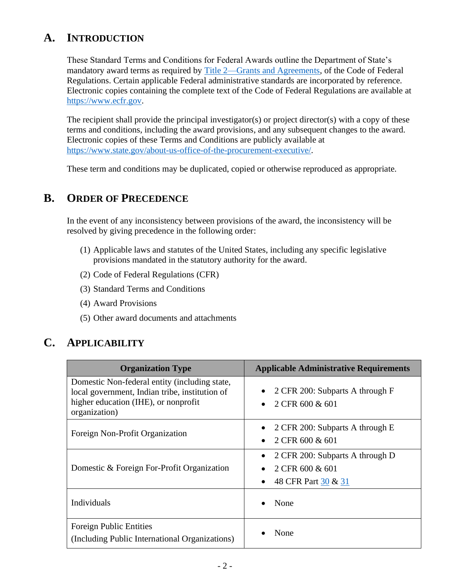# <span id="page-1-0"></span>**A. INTRODUCTION**

These Standard Terms and Conditions for Federal Awards outline the Department of State's mandatory award terms as required by [Title 2—Grants and Agreements,](https://www.ecfr.gov/cgi-bin/text-idx?SID=7b9b315e33b8791b6219f9b3e1df69c5&mc=true&node=pt2.1.200&rgn=div5) of the Code of Federal Regulations. Certain applicable Federal administrative standards are incorporated by reference. Electronic copies containing the complete text of the Code of Federal Regulations are available at [https://www.ecfr.gov.](https://www.ecfr.gov/cgi-bin/ECFR?SID=fa1e524aebcc229c10650af1f45d4c72&mc=true&page=browse)

The recipient shall provide the principal investigator(s) or project director(s) with a copy of these terms and conditions, including the award provisions, and any subsequent changes to the award. Electronic copies of these Terms and Conditions are publicly available at [https://www.state.gov/about-us-office-of-the-procurement-executive/.](https://www.state.gov/about-us-office-of-the-procurement-executive/)

These term and conditions may be duplicated, copied or otherwise reproduced as appropriate.

#### <span id="page-1-1"></span>**B. ORDER OF PRECEDENCE**

In the event of any inconsistency between provisions of the award, the inconsistency will be resolved by giving precedence in the following order:

- (1) Applicable laws and statutes of the United States, including any specific legislative provisions mandated in the statutory authority for the award.
- (2) Code of Federal Regulations (CFR)
- (3) Standard Terms and Conditions
- (4) Award Provisions
- (5) Other award documents and attachments

## <span id="page-1-2"></span>**C. APPLICABILITY**

| <b>Organization Type</b>                                                                                                                                 | <b>Applicable Administrative Requirements</b>                                                                    |
|----------------------------------------------------------------------------------------------------------------------------------------------------------|------------------------------------------------------------------------------------------------------------------|
| Domestic Non-federal entity (including state,<br>local government, Indian tribe, institution of<br>higher education (IHE), or nonprofit<br>organization) | 2 CFR 200: Subparts A through F<br>$\bullet$<br>2 CFR 600 & 601<br>$\bullet$                                     |
| Foreign Non-Profit Organization                                                                                                                          | 2 CFR 200: Subparts A through E<br>2 CFR 600 & 601<br>$\bullet$                                                  |
| Domestic & Foreign For-Profit Organization                                                                                                               | 2 CFR 200: Subparts A through D<br>$\bullet$<br>2 CFR 600 & 601<br>$\bullet$<br>48 CFR Part 30 & 31<br>$\bullet$ |
| Individuals                                                                                                                                              | None                                                                                                             |
| <b>Foreign Public Entities</b><br>(Including Public International Organizations)                                                                         | None                                                                                                             |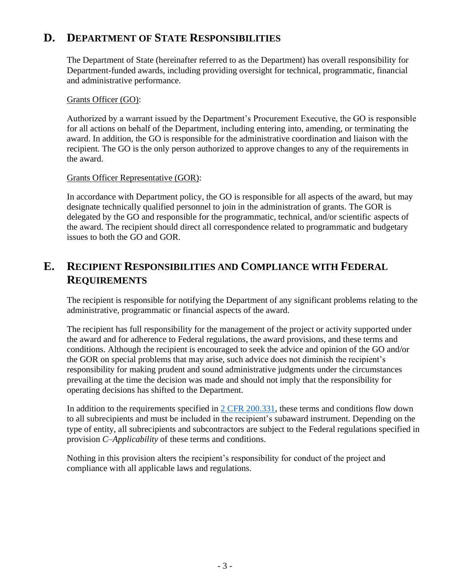## <span id="page-2-0"></span>**D. DEPARTMENT OF STATE RESPONSIBILITIES**

The Department of State (hereinafter referred to as the Department) has overall responsibility for Department-funded awards, including providing oversight for technical, programmatic, financial and administrative performance.

#### Grants Officer (GO):

Authorized by a warrant issued by the Department's Procurement Executive, the GO is responsible for all actions on behalf of the Department, including entering into, amending, or terminating the award. In addition, the GO is responsible for the administrative coordination and liaison with the recipient. The GO is the only person authorized to approve changes to any of the requirements in the award.

#### Grants Officer Representative (GOR):

In accordance with Department policy, the GO is responsible for all aspects of the award, but may designate technically qualified personnel to join in the administration of grants. The GOR is delegated by the GO and responsible for the programmatic, technical, and/or scientific aspects of the award. The recipient should direct all correspondence related to programmatic and budgetary issues to both the GO and GOR.

## <span id="page-2-1"></span>**E. RECIPIENT RESPONSIBILITIES AND COMPLIANCE WITH FEDERAL REQUIREMENTS**

The recipient is responsible for notifying the Department of any significant problems relating to the administrative, programmatic or financial aspects of the award.

The recipient has full responsibility for the management of the project or activity supported under the award and for adherence to Federal regulations, the award provisions, and these terms and conditions. Although the recipient is encouraged to seek the advice and opinion of the GO and/or the GOR on special problems that may arise, such advice does not diminish the recipient's responsibility for making prudent and sound administrative judgments under the circumstances prevailing at the time the decision was made and should not imply that the responsibility for operating decisions has shifted to the Department.

In addition to the requirements specified in [2 CFR 200.331,](https://www.ecfr.gov/cgi-bin/text-idx?SID=7d0a7a4006e39239155130408be37d32&mc=true&node=se2.1.200_1331&rgn=div8) these terms and conditions flow down to all subrecipients and must be included in the recipient's subaward instrument. Depending on the type of entity, all subrecipients and subcontractors are subject to the Federal regulations specified in provision *C–Applicability* of these terms and conditions.

Nothing in this provision alters the recipient's responsibility for conduct of the project and compliance with all applicable laws and regulations.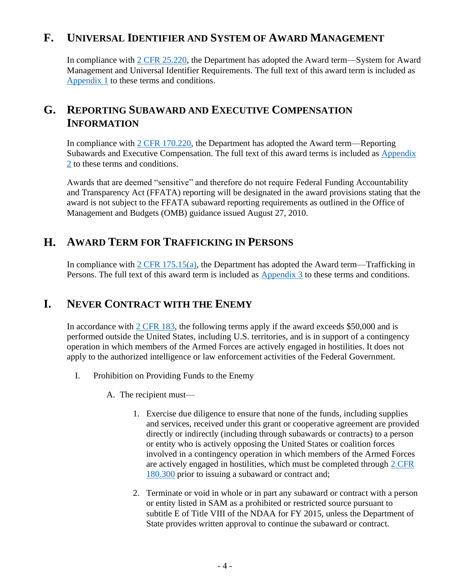#### <span id="page-3-0"></span>**F. UNIVERSAL IDENTIFIER AND SYSTEM OF AWARD MANAGEMENT**

In compliance with  $2$  CFR 25.220, the Department has adopted the Award term—System for Award Management and Universal Identifier Requirements. The full text of this award term is included as [Appendix 1](#page-12-0) to these terms and conditions.

# <span id="page-3-1"></span>**G. REPORTING SUBAWARD AND EXECUTIVE COMPENSATION INFORMATION**

In compliance with [2 CFR 170.220,](https://www.ecfr.gov/cgi-bin/text-idx?SID=d7f352fb4b2990a73a5255aeb0b16414&mc=true&node=20200813y1.49) the Department has adopted the Award term—Reporting Subawards and Executive Compensation. The full text of this award terms is included as [Appendix](#page-13-0)  [2](#page-13-0) to these terms and conditions.

Awards that are deemed "sensitive" and therefore do not require Federal Funding Accountability and Transparency Act (FFATA) reporting will be designated in the award provisions stating that the award is not subject to the FFATA subaward reporting requirements as outlined in the Office of Management and Budgets (OMB) guidance issued August 27, 2010.

## <span id="page-3-2"></span>**H. AWARD TERM FOR TRAFFICKING IN PERSONS**

In compliance with [2 CFR 175.15\(a\),](https://www.ecfr.gov/cgi-bin/text-idx?SID=d7f352fb4b2990a73a5255aeb0b16414&mc=true&node=pt2.1.175&rgn=div5#se2.1.175_115) the Department has adopted the Award term—Trafficking in Persons. The full text of this award term is included as [Appendix 3](#page-16-0) to these terms and conditions.

## <span id="page-3-3"></span>**I. NEVER CONTRACT WITH THE ENEMY**

In accordance with [2 CFR 183,](https://www.ecfr.gov/cgi-bin/text-idx?SID=57132d3dd07806ffd289e1296cbb1b99&mc=true&node=20200813y1.60) the following terms apply if the award exceeds \$50,000 and is performed outside the United States, including U.S. territories, and is in support of a contingency operation in which members of the Armed Forces are actively engaged in hostilities. It does not apply to the authorized intelligence or law enforcement activities of the Federal Government.

- I. Prohibition on Providing Funds to the Enemy
	- A. The recipient must—
		- 1. Exercise due diligence to ensure that none of the funds, including supplies and services, received under this grant or cooperative agreement are provided directly or indirectly (including through subawards or contracts) to a person or entity who is actively opposing the United States or coalition forces involved in a contingency operation in which members of the Armed Forces are actively engaged in hostilities, which must be completed through [2 CFR](https://www.ecfr.gov/cgi-bin/text-idx?SID=f21b9ee20d5d4417e5153e52fba57a2b&mc=true&node=pt2.1.180&rgn=div5#se2.1.180_1300)  [180.300](https://www.ecfr.gov/cgi-bin/text-idx?SID=f21b9ee20d5d4417e5153e52fba57a2b&mc=true&node=pt2.1.180&rgn=div5#se2.1.180_1300) prior to issuing a subaward or contract and;
		- 2. Terminate or void in whole or in part any subaward or contract with a person or entity listed in SAM as a prohibited or restricted source pursuant to subtitle E of Title VIII of the NDAA for FY 2015, unless the Department of State provides written approval to continue the subaward or contract.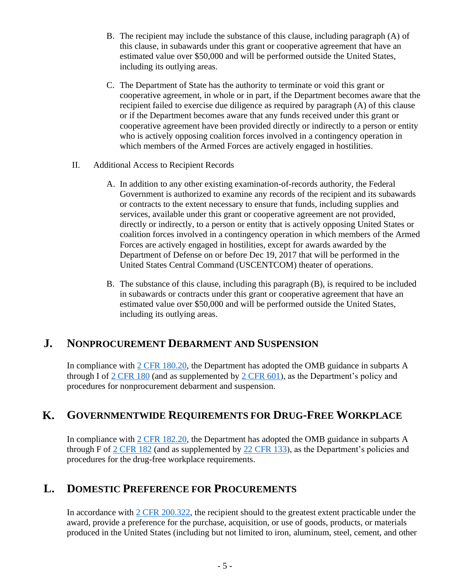- B. The recipient may include the substance of this clause, including paragraph (A) of this clause, in subawards under this grant or cooperative agreement that have an estimated value over \$50,000 and will be performed outside the United States, including its outlying areas.
- C. The Department of State has the authority to terminate or void this grant or cooperative agreement, in whole or in part, if the Department becomes aware that the recipient failed to exercise due diligence as required by paragraph (A) of this clause or if the Department becomes aware that any funds received under this grant or cooperative agreement have been provided directly or indirectly to a person or entity who is actively opposing coalition forces involved in a contingency operation in which members of the Armed Forces are actively engaged in hostilities.
- II. Additional Access to Recipient Records
	- A. In addition to any other existing examination-of-records authority, the Federal Government is authorized to examine any records of the recipient and its subawards or contracts to the extent necessary to ensure that funds, including supplies and services, available under this grant or cooperative agreement are not provided, directly or indirectly, to a person or entity that is actively opposing United States or coalition forces involved in a contingency operation in which members of the Armed Forces are actively engaged in hostilities, except for awards awarded by the Department of Defense on or before Dec 19, 2017 that will be performed in the United States Central Command (USCENTCOM) theater of operations.
	- B. The substance of this clause, including this paragraph (B), is required to be included in subawards or contracts under this grant or cooperative agreement that have an estimated value over \$50,000 and will be performed outside the United States, including its outlying areas.

#### <span id="page-4-0"></span>**J. NONPROCUREMENT DEBARMENT AND SUSPENSION**

In compliance with [2 CFR 180.20,](https://www.ecfr.gov/cgi-bin/text-idx?SID=d7f352fb4b2990a73a5255aeb0b16414&mc=true&node=pt2.1.180&rgn=div5#se2.1.180_120) the Department has adopted the OMB guidance in subparts A through I of [2 CFR 180](https://www.ecfr.gov/cgi-bin/text-idx?SID=d7f352fb4b2990a73a5255aeb0b16414&mc=true&node=pt2.1.180&rgn=div5) (and as supplemented by [2 CFR 601\)](https://www.ecfr.gov/cgi-bin/text-idx?SID=01b07c83b6d1fadd72ff347724ea6915&mc=true&node=pt2.1.601&rgn=div5), as the Department's policy and procedures for nonprocurement debarment and suspension.

#### <span id="page-4-1"></span>**K. GOVERNMENTWIDE REQUIREMENTS FOR DRUG-FREE WORKPLACE**

In compliance with [2 CFR 182.20,](https://www.ecfr.gov/cgi-bin/text-idx?SID=d7f352fb4b2990a73a5255aeb0b16414&mc=true&node=pt2.1.182&rgn=div5#se2.1.182_120) the Department has adopted the OMB guidance in subparts A through F of  $2$  CFR 182 (and as supplemented by  $22$  CFR 133), as the Department's policies and procedures for the drug-free workplace requirements.

#### <span id="page-4-2"></span>**L. DOMESTIC PREFERENCE FOR PROCUREMENTS**

In accordance with [2 CFR 200.322,](https://www.federalregister.gov/documents/2020/08/13/2020-17468/guidance-for-grants-and-agreements#sectno-reference-200.322) the recipient should to the greatest extent practicable under the award, provide a preference for the purchase, acquisition, or use of goods, products, or materials produced in the United States (including but not limited to iron, aluminum, steel, cement, and other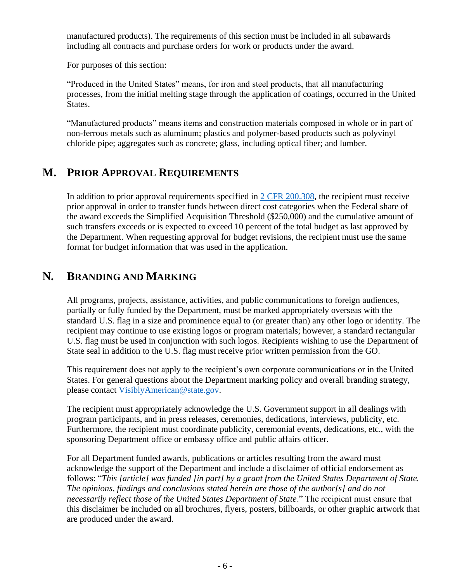manufactured products). The requirements of this section must be included in all subawards including all contracts and purchase orders for work or products under the award.

For purposes of this section:

"Produced in the United States" means, for iron and steel products, that all manufacturing processes, from the initial melting stage through the application of coatings, occurred in the United States.

"Manufactured products" means items and construction materials composed in whole or in part of non-ferrous metals such as aluminum; plastics and polymer-based products such as polyvinyl chloride pipe; aggregates such as concrete; glass, including optical fiber; and lumber.

## <span id="page-5-0"></span>**M. PRIOR APPROVAL REQUIREMENTS**

In addition to prior approval requirements specified in [2 CFR 200.308,](https://www.ecfr.gov/cgi-bin/text-idx?SID=d7f352fb4b2990a73a5255aeb0b16414&mc=true&node=pt2.1.200&rgn=div5#se2.1.200_1308) the recipient must receive prior approval in order to transfer funds between direct cost categories when the Federal share of the award exceeds the Simplified Acquisition Threshold (\$250,000) and the cumulative amount of such transfers exceeds or is expected to exceed 10 percent of the total budget as last approved by the Department. When requesting approval for budget revisions, the recipient must use the same format for budget information that was used in the application.

# <span id="page-5-1"></span>**N. BRANDING AND MARKING**

All programs, projects, assistance, activities, and public communications to foreign audiences, partially or fully funded by the Department, must be marked appropriately overseas with the standard U.S. flag in a size and prominence equal to (or greater than) any other logo or identity. The recipient may continue to use existing logos or program materials; however, a standard rectangular U.S. flag must be used in conjunction with such logos. Recipients wishing to use the Department of State seal in addition to the U.S. flag must receive prior written permission from the GO.

This requirement does not apply to the recipient's own corporate communications or in the United States. For general questions about the Department marking policy and overall branding strategy, please contact [VisiblyAmerican@state.gov.](mailto:VisiblyAmerican@state.gov)

The recipient must appropriately acknowledge the U.S. Government support in all dealings with program participants, and in press releases, ceremonies, dedications, interviews, publicity, etc. Furthermore, the recipient must coordinate publicity, ceremonial events, dedications, etc., with the sponsoring Department office or embassy office and public affairs officer.

For all Department funded awards, publications or articles resulting from the award must acknowledge the support of the Department and include a disclaimer of official endorsement as follows: "*This [article] was funded [in part] by a grant from the United States Department of State. The opinions, findings and conclusions stated herein are those of the author[s] and do not necessarily reflect those of the United States Department of State*." The recipient must ensure that this disclaimer be included on all brochures, flyers, posters, billboards, or other graphic artwork that are produced under the award.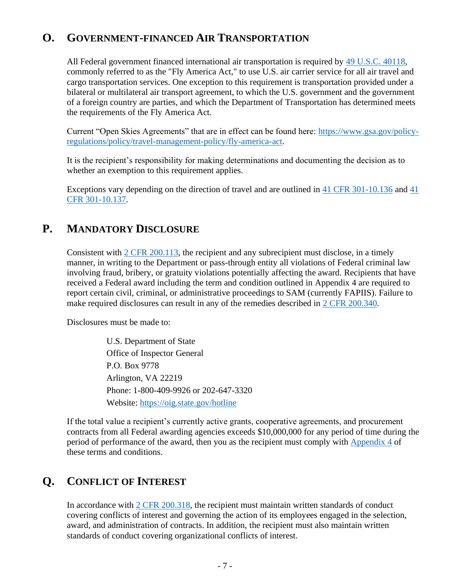#### <span id="page-6-0"></span>**O. GOVERNMENT-FINANCED AIR TRANSPORTATION**

All Federal government financed international air transportation is required by [49 U.S.C. 40118,](http://uscode.house.gov/view.xhtml?req=granuleid:USC-prelim-title49-section40118&num=0&edition=prelim) commonly referred to as the "Fly America Act," to use U.S. air carrier service for all air travel and cargo transportation services. One exception to this requirement is transportation provided under a bilateral or multilateral air transport agreement, to which the U.S. government and the government of a foreign country are parties, and which the Department of Transportation has determined meets the requirements of the Fly America Act.

Current "Open Skies Agreements" that are in effect can be found here: [https://www.gsa.gov/policy](https://www.gsa.gov/policy-regulations/policy/travel-management-policy/fly-america-act)[regulations/policy/travel-management-policy/fly-america-act.](https://www.gsa.gov/policy-regulations/policy/travel-management-policy/fly-america-act)

It is the recipient's responsibility for making determinations and documenting the decision as to whether an exemption to this requirement applies.

Exceptions vary depending on the direction of travel and are outlined in [41 CFR 301-10.136](https://www.ecfr.gov/cgi-bin/text-idx?SID=5aa9f4e9f005f6b467054710ca446369&mc=true&node=se41.4.301_610_1136&rgn=div8) and [41](https://www.ecfr.gov/cgi-bin/text-idx?SID=5aa9f4e9f005f6b467054710ca446369&mc=true&node=se41.4.301_610_1137&rgn=div8)  [CFR 301-10.137.](https://www.ecfr.gov/cgi-bin/text-idx?SID=5aa9f4e9f005f6b467054710ca446369&mc=true&node=se41.4.301_610_1137&rgn=div8)

#### <span id="page-6-1"></span>**P. MANDATORY DISCLOSURE**

Consistent with [2 CFR 200.113,](https://www.ecfr.gov/cgi-bin/text-idx?SID=d7f352fb4b2990a73a5255aeb0b16414&mc=true&node=20200813y1.71) the recipient and any subrecipient must disclose, in a timely manner, in writing to the Department or pass-through entity all violations of Federal criminal law involving fraud, bribery, or gratuity violations potentially affecting the award. Recipients that have received a Federal award including the term and condition outlined in Appendix 4 are required to report certain civil, criminal, or administrative proceedings to SAM (currently FAPIIS). Failure to make required disclosures can result in any of the remedies described in [2 CFR 200.340.](https://www.ecfr.gov/cgi-bin/text-idx?SID=6912b88eb3a7a12cae2b75721e749195&mc=true&node=se2.1.200_1340&rgn=div8)

Disclosures must be made to:

U.S. Department of State Office of Inspector General P.O. Box 9778 Arlington, VA 22219 Phone: 1-800-409-9926 or 202-647-3320 Website:<https://oig.state.gov/hotline>

If the total value a recipient's currently active grants, cooperative agreements, and procurement contracts from all Federal awarding agencies exceeds \$10,000,000 for any period of time during the period of performance of the award, then you as the recipient must comply with **Appendix 4** of these terms and conditions.

## <span id="page-6-2"></span>**Q. CONFLICT OF INTEREST**

In accordance with [2 CFR 200.318,](https://www.ecfr.gov/cgi-bin/text-idx?SID=6912b88eb3a7a12cae2b75721e749195&mc=true&node=se2.1.200_1318&rgn=div8) the recipient must maintain written standards of conduct covering conflicts of interest and governing the action of its employees engaged in the selection, award, and administration of contracts. In addition, the recipient must also maintain written standards of conduct covering organizational conflicts of interest.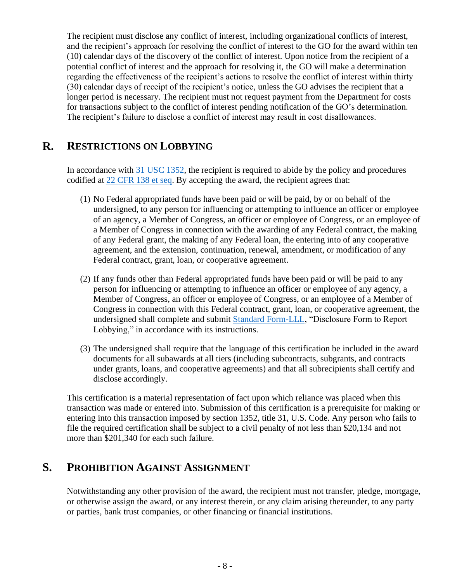The recipient must disclose any conflict of interest, including organizational conflicts of interest, and the recipient's approach for resolving the conflict of interest to the GO for the award within ten (10) calendar days of the discovery of the conflict of interest. Upon notice from the recipient of a potential conflict of interest and the approach for resolving it, the GO will make a determination regarding the effectiveness of the recipient's actions to resolve the conflict of interest within thirty (30) calendar days of receipt of the recipient's notice, unless the GO advises the recipient that a longer period is necessary. The recipient must not request payment from the Department for costs for transactions subject to the conflict of interest pending notification of the GO's determination. The recipient's failure to disclose a conflict of interest may result in cost disallowances.

## <span id="page-7-0"></span>**R. RESTRICTIONS ON LOBBYING**

In accordance with [31 USC 1352,](https://uscode.house.gov/view.xhtml?req=granuleid:USC-prelim-title31-section1352&num=0&edition=prelim) the recipient is required to abide by the policy and procedures codified at [22 CFR 138 et seq.](https://www.ecfr.gov/cgi-bin/text-idx?SID=47aebb1f1b20f4d053179f14e6eae1c9&mc=true&node=pt22.1.138&rgn=div5) By accepting the award, the recipient agrees that:

- (1) No Federal appropriated funds have been paid or will be paid, by or on behalf of the undersigned, to any person for influencing or attempting to influence an officer or employee of an agency, a Member of Congress, an officer or employee of Congress, or an employee of a Member of Congress in connection with the awarding of any Federal contract, the making of any Federal grant, the making of any Federal loan, the entering into of any cooperative agreement, and the extension, continuation, renewal, amendment, or modification of any Federal contract, grant, loan, or cooperative agreement.
- (2) If any funds other than Federal appropriated funds have been paid or will be paid to any person for influencing or attempting to influence an officer or employee of any agency, a Member of Congress, an officer or employee of Congress, or an employee of a Member of Congress in connection with this Federal contract, grant, loan, or cooperative agreement, the undersigned shall complete and submit [Standard Form-LLL,](https://www.grants.gov/web/grants/forms/post-award-reporting-forms.html) "Disclosure Form to Report Lobbying," in accordance with its instructions.
- (3) The undersigned shall require that the language of this certification be included in the award documents for all subawards at all tiers (including subcontracts, subgrants, and contracts under grants, loans, and cooperative agreements) and that all subrecipients shall certify and disclose accordingly.

This certification is a material representation of fact upon which reliance was placed when this transaction was made or entered into. Submission of this certification is a prerequisite for making or entering into this transaction imposed by section 1352, title 31, U.S. Code. Any person who fails to file the required certification shall be subject to a civil penalty of not less than \$20,134 and not more than \$201,340 for each such failure.

## <span id="page-7-1"></span>**S. PROHIBITION AGAINST ASSIGNMENT**

Notwithstanding any other provision of the award, the recipient must not transfer, pledge, mortgage, or otherwise assign the award, or any interest therein, or any claim arising thereunder, to any party or parties, bank trust companies, or other financing or financial institutions.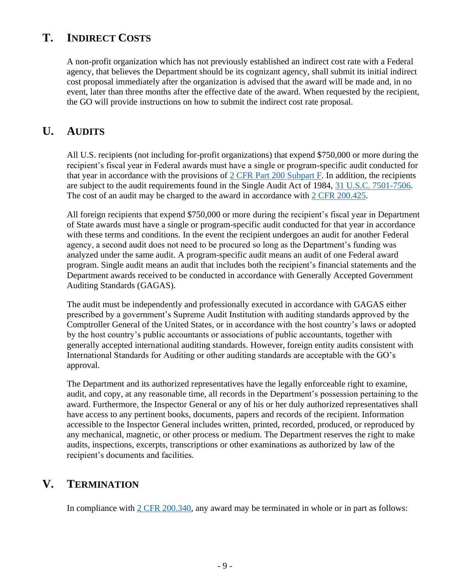# <span id="page-8-0"></span>**T. INDIRECT COSTS**

A non-profit organization which has not previously established an indirect cost rate with a Federal agency, that believes the Department should be its cognizant agency, shall submit its initial indirect cost proposal immediately after the organization is advised that the award will be made and, in no event, later than three months after the effective date of the award. When requested by the recipient, the GO will provide instructions on how to submit the indirect cost rate proposal.

## <span id="page-8-1"></span>**U. AUDITS**

All U.S. recipients (not including for-profit organizations) that expend \$750,000 or more during the recipient's fiscal year in Federal awards must have a single or program-specific audit conducted for that year in accordance with the provisions of [2 CFR Part 200 Subpart F.](https://www.ecfr.gov/cgi-bin/text-idx?SID=6912b88eb3a7a12cae2b75721e749195&mc=true&node=sp2.1.200.f&rgn=div6) In addition, the recipients are subject to the audit requirements found in the Single Audit Act of 1984, [31 U.S.C. 7501-7506.](https://uscode.house.gov/view.xhtml?path=/prelim@title31/subtitle5/chapter75&edition=prelim) The cost of an audit may be charged to the award in accordance with [2 CFR 200.425.](https://www.ecfr.gov/cgi-bin/text-idx?SID=7d0a7a4006e39239155130408be37d32&mc=true&node=se2.1.200_1425&rgn=div8)

All foreign recipients that expend \$750,000 or more during the recipient's fiscal year in Department of State awards must have a single or program-specific audit conducted for that year in accordance with these terms and conditions. In the event the recipient undergoes an audit for another Federal agency, a second audit does not need to be procured so long as the Department's funding was analyzed under the same audit. A program-specific audit means an audit of one Federal award program. Single audit means an audit that includes both the recipient's financial statements and the Department awards received to be conducted in accordance with Generally Accepted Government Auditing Standards (GAGAS).

The audit must be independently and professionally executed in accordance with GAGAS either prescribed by a government's Supreme Audit Institution with auditing standards approved by the Comptroller General of the United States, or in accordance with the host country's laws or adopted by the host country's public accountants or associations of public accountants, together with generally accepted international auditing standards. However, foreign entity audits consistent with International Standards for Auditing or other auditing standards are acceptable with the GO's approval.

The Department and its authorized representatives have the legally enforceable right to examine, audit, and copy, at any reasonable time, all records in the Department's possession pertaining to the award. Furthermore, the Inspector General or any of his or her duly authorized representatives shall have access to any pertinent books, documents, papers and records of the recipient. Information accessible to the Inspector General includes written, printed, recorded, produced, or reproduced by any mechanical, magnetic, or other process or medium. The Department reserves the right to make audits, inspections, excerpts, transcriptions or other examinations as authorized by law of the recipient's documents and facilities.

#### <span id="page-8-2"></span>**V. TERMINATION**

In compliance with  $2 \text{ CFR } 200.340$ , any award may be terminated in whole or in part as follows: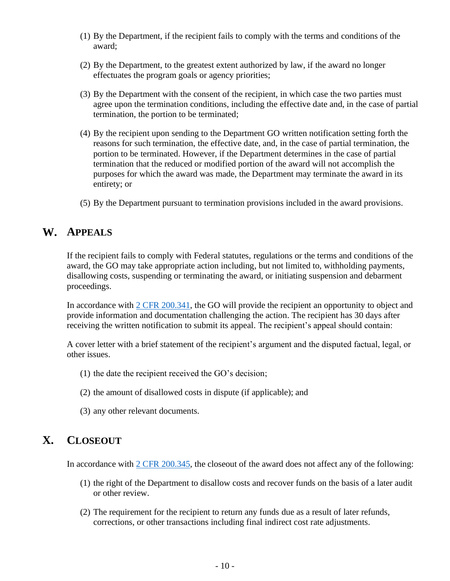- (1) By the Department, if the recipient fails to comply with the terms and conditions of the award;
- (2) By the Department, to the greatest extent authorized by law, if the award no longer effectuates the program goals or agency priorities;
- (3) By the Department with the consent of the recipient, in which case the two parties must agree upon the termination conditions, including the effective date and, in the case of partial termination, the portion to be terminated;
- (4) By the recipient upon sending to the Department GO written notification setting forth the reasons for such termination, the effective date, and, in the case of partial termination, the portion to be terminated. However, if the Department determines in the case of partial termination that the reduced or modified portion of the award will not accomplish the purposes for which the award was made, the Department may terminate the award in its entirety; or
- (5) By the Department pursuant to termination provisions included in the award provisions.

#### <span id="page-9-0"></span>**W. APPEALS**

If the recipient fails to comply with Federal statutes, regulations or the terms and conditions of the award, the GO may take appropriate action including, but not limited to, withholding payments, disallowing costs, suspending or terminating the award, or initiating suspension and debarment proceedings.

In accordance with [2 CFR 200.341,](https://www.ecfr.gov/cgi-bin/text-idx?SID=85eb316333e09429d39c7d8f57bf97e9&mc=true&node=se2.1.200_1341&rgn=div8) the GO will provide the recipient an opportunity to object and provide information and documentation challenging the action. The recipient has 30 days after receiving the written notification to submit its appeal. The recipient's appeal should contain:

A cover letter with a brief statement of the recipient's argument and the disputed factual, legal, or other issues.

- (1) the date the recipient received the GO's decision;
- (2) the amount of disallowed costs in dispute (if applicable); and
- (3) any other relevant documents.

## <span id="page-9-1"></span>**X. CLOSEOUT**

In accordance with [2 CFR 200.345,](https://www.federalregister.gov/documents/2020/08/13/2020-17468/guidance-for-grants-and-agreements#sectno-reference-200.345) the closeout of the award does not affect any of the following:

- (1) the right of the Department to disallow costs and recover funds on the basis of a later audit or other review.
- (2) The requirement for the recipient to return any funds due as a result of later refunds, corrections, or other transactions including final indirect cost rate adjustments.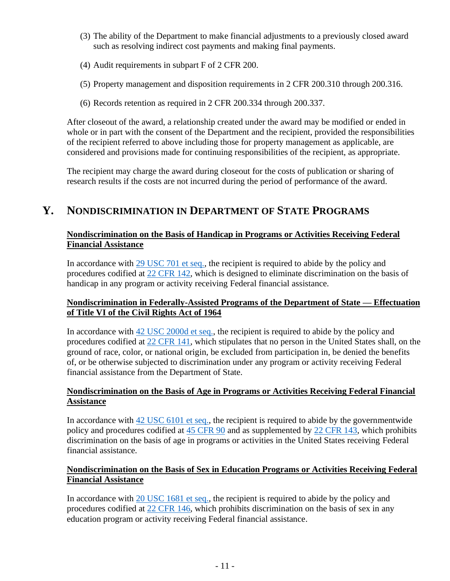- (3) The ability of the Department to make financial adjustments to a previously closed award such as resolving indirect cost payments and making final payments.
- (4) Audit requirements in subpart F of 2 CFR 200.
- (5) Property management and disposition requirements in 2 CFR 200.310 through 200.316.
- (6) Records retention as required in 2 CFR 200.334 through 200.337.

After closeout of the award, a relationship created under the award may be modified or ended in whole or in part with the consent of the Department and the recipient, provided the responsibilities of the recipient referred to above including those for property management as applicable, are considered and provisions made for continuing responsibilities of the recipient, as appropriate.

The recipient may charge the award during closeout for the costs of publication or sharing of research results if the costs are not incurred during the period of performance of the award.

#### <span id="page-10-0"></span>**Y. NONDISCRIMINATION IN DEPARTMENT OF STATE PROGRAMS**

#### **Nondiscrimination on the Basis of Handicap in Programs or Activities Receiving Federal Financial Assistance**

In accordance with [29 USC 701 et seq.,](https://uscode.house.gov/view.xhtml?path=/prelim@title29/chapter16&edition=prelim) the recipient is required to abide by the policy and procedures codified at [22 CFR 142,](https://www.ecfr.gov/cgi-bin/text-idx?SID=331ff4b29efebce831edb1370fbf3b98&mc=true&node=pt22.1.142&rgn=div5) which is designed to eliminate discrimination on the basis of handicap in any program or activity receiving Federal financial assistance.

#### **Nondiscrimination in Federally-Assisted Programs of the Department of State — Effectuation of Title VI of the Civil Rights Act of 1964**

In accordance with  $42$  USC 2000d et seq., the recipient is required to abide by the policy and procedures codified at [22 CFR 141,](https://www.ecfr.gov/cgi-bin/text-idx?SID=331ff4b29efebce831edb1370fbf3b98&mc=true&node=pt22.1.141&rgn=div5) which stipulates that no person in the United States shall, on the ground of race, color, or national origin, be excluded from participation in, be denied the benefits of, or be otherwise subjected to discrimination under any program or activity receiving Federal financial assistance from the Department of State.

#### **Nondiscrimination on the Basis of Age in Programs or Activities Receiving Federal Financial Assistance**

In accordance with [42 USC 6101 et seq.,](http://uscode.house.gov/view.xhtml?path=/prelim@title42/chapter76&edition=prelim) the recipient is required to abide by the governmentwide policy and procedures codified at [45 CFR 90](https://www.ecfr.gov/cgi-bin/text-idx?SID=4aff31866e60f70358817c76caad62e0&mc=true&node=pt45.1.90&rgn=div5) and as supplemented by [22 CFR 143,](https://www.ecfr.gov/cgi-bin/text-idx?SID=331ff4b29efebce831edb1370fbf3b98&mc=true&node=pt22.1.143&rgn=div5) which prohibits discrimination on the basis of age in programs or activities in the United States receiving Federal financial assistance.

#### **Nondiscrimination on the Basis of Sex in Education Programs or Activities Receiving Federal Financial Assistance**

In accordance with [20 USC 1681 et seq.,](http://uscode.house.gov/view.xhtml?path=/prelim@title20/chapter38&edition=prelim) the recipient is required to abide by the policy and procedures codified at [22 CFR 146,](https://www.ecfr.gov/cgi-bin/text-idx?SID=331ff4b29efebce831edb1370fbf3b98&mc=true&node=pt22.1.146&rgn=div5) which prohibits discrimination on the basis of sex in any education program or activity receiving Federal financial assistance.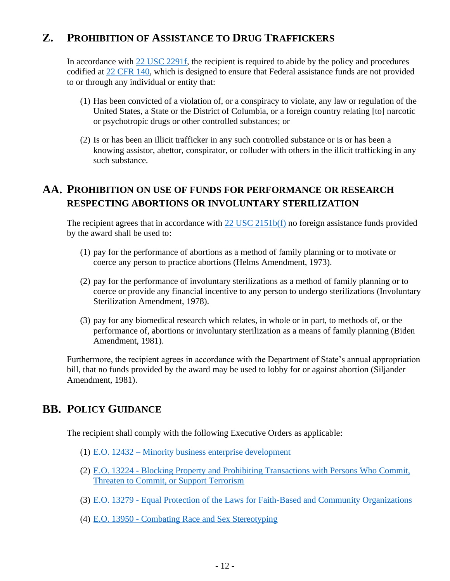## <span id="page-11-0"></span>**Z. PROHIBITION OF ASSISTANCE TO DRUG TRAFFICKERS**

In accordance with [22 USC 2291f,](http://uscode.house.gov/view.xhtml?req=granuleid:USC-prelim-title22-section2291f&num=0&edition=prelim) the recipient is required to abide by the policy and procedures codified at [22 CFR 140,](https://www.ecfr.gov/cgi-bin/text-idx?SID=331ff4b29efebce831edb1370fbf3b98&mc=true&node=pt22.1.140&rgn=div5) which is designed to ensure that Federal assistance funds are not provided to or through any individual or entity that:

- (1) Has been convicted of a violation of, or a conspiracy to violate, any law or regulation of the United States, a State or the District of Columbia, or a foreign country relating [to] narcotic or psychotropic drugs or other controlled substances; or
- (2) Is or has been an illicit trafficker in any such controlled substance or is or has been a knowing assistor, abettor, conspirator, or colluder with others in the illicit trafficking in any such substance.

#### <span id="page-11-1"></span>**AA. PROHIBITION ON USE OF FUNDS FOR PERFORMANCE OR RESEARCH RESPECTING ABORTIONS OR INVOLUNTARY STERILIZATION**

The recipient agrees that in accordance with [22 USC 2151b\(f\)](https://uscode.house.gov/view.xhtml?req=granuleid:USC-prelim-title22-section2151b&num=0&edition=prelim) no foreign assistance funds provided by the award shall be used to:

- (1) pay for the performance of abortions as a method of family planning or to motivate or coerce any person to practice abortions (Helms Amendment, 1973).
- (2) pay for the performance of involuntary sterilizations as a method of family planning or to coerce or provide any financial incentive to any person to undergo sterilizations (Involuntary Sterilization Amendment, 1978).
- (3) pay for any biomedical research which relates, in whole or in part, to methods of, or the performance of, abortions or involuntary sterilization as a means of family planning (Biden Amendment, 1981).

Furthermore, the recipient agrees in accordance with the Department of State's annual appropriation bill, that no funds provided by the award may be used to lobby for or against abortion (Siljander Amendment, 1981).

# <span id="page-11-2"></span>**BB. POLICY GUIDANCE**

The recipient shall comply with the following Executive Orders as applicable:

- (1) E.O. 12432 [Minority business enterprise development](https://www.archives.gov/federal-register/codification/executive-order/12432.html)
- (2) E.O. 13224 [Blocking Property and Prohibiting Transactions with](https://www.federalregister.gov/documents/2001/09/25/01-24205/blocking-property-and-prohibiting-transactions-with-persons-who-commit-threaten-to-commit-or-support) Persons Who Commit, Threaten to [Commit, or Support Terrorism](https://www.federalregister.gov/documents/2001/09/25/01-24205/blocking-property-and-prohibiting-transactions-with-persons-who-commit-threaten-to-commit-or-support)
- (3) E.O. 13279 [Equal Protection of the Laws for Faith-Based and Community Organizations](https://www.federalregister.gov/documents/2002/12/16/02-31831/equal-protection-of-the-laws-for-faith-based-and-community-organizations)
- (4) E.O. 13950 [Combating Race and Sex Stereotyping](https://www.federalregister.gov/documents/2020/09/28/2020-21534/combating-race-and-sex-stereotyping)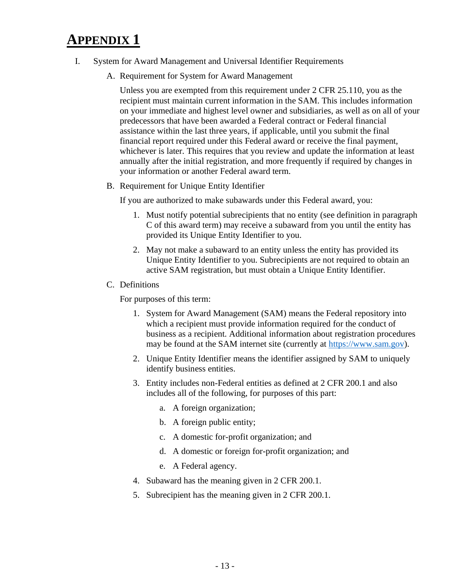- <span id="page-12-0"></span>I. System for Award Management and Universal Identifier Requirements
	- A. Requirement for System for Award Management

Unless you are exempted from this requirement under 2 CFR 25.110, you as the recipient must maintain current information in the SAM. This includes information on your immediate and highest level owner and subsidiaries, as well as on all of your predecessors that have been awarded a Federal contract or Federal financial assistance within the last three years, if applicable, until you submit the final financial report required under this Federal award or receive the final payment, whichever is later. This requires that you review and update the information at least annually after the initial registration, and more frequently if required by changes in your information or another Federal award term.

B. Requirement for Unique Entity Identifier

If you are authorized to make subawards under this Federal award, you:

- 1. Must notify potential subrecipients that no entity (see definition in paragraph C of this award term) may receive a subaward from you until the entity has provided its Unique Entity Identifier to you.
- 2. May not make a subaward to an entity unless the entity has provided its Unique Entity Identifier to you. Subrecipients are not required to obtain an active SAM registration, but must obtain a Unique Entity Identifier.
- C. Definitions

For purposes of this term:

- 1. System for Award Management (SAM) means the Federal repository into which a recipient must provide information required for the conduct of business as a recipient. Additional information about registration procedures may be found at the SAM internet site (currently at [https://www.sam.gov\)](https://www.sam.gov/).
- 2. Unique Entity Identifier means the identifier assigned by SAM to uniquely identify business entities.
- 3. Entity includes non-Federal entities as defined at 2 CFR 200.1 and also includes all of the following, for purposes of this part:
	- a. A foreign organization;
	- b. A foreign public entity;
	- c. A domestic for-profit organization; and
	- d. A domestic or foreign for-profit organization; and
	- e. A Federal agency.
- 4. Subaward has the meaning given in 2 CFR 200.1.
- 5. Subrecipient has the meaning given in 2 CFR 200.1.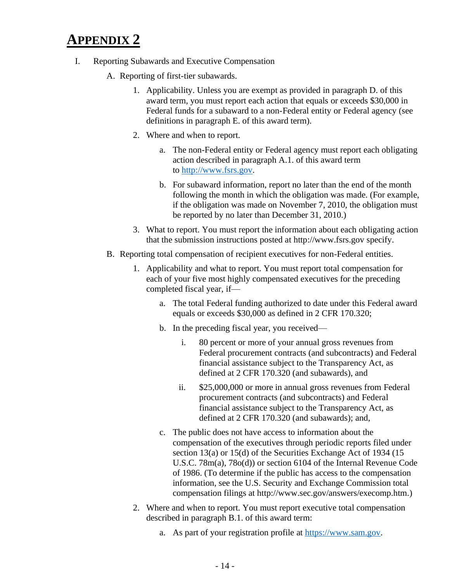- <span id="page-13-0"></span>I. Reporting Subawards and Executive Compensation
	- A. Reporting of first-tier subawards.
		- 1. Applicability. Unless you are exempt as provided in paragraph D. of this award term, you must report each action that equals or exceeds \$30,000 in Federal funds for a subaward to a non-Federal entity or Federal agency (see definitions in paragraph E. of this award term).
		- 2. Where and when to report.
			- a. The non-Federal entity or Federal agency must report each obligating action described in paragraph A.1. of this award term to [http://www.fsrs.gov.](http://www.fsrs.gov/)
			- b. For subaward information, report no later than the end of the month following the month in which the obligation was made. (For example, if the obligation was made on November 7, 2010, the obligation must be reported by no later than December 31, 2010.)
		- 3. What to report. You must report the information about each obligating action that the submission instructions posted at http://www.fsrs.gov specify.
	- B. Reporting total compensation of recipient executives for non-Federal entities.
		- 1. Applicability and what to report. You must report total compensation for each of your five most highly compensated executives for the preceding completed fiscal year, if
			- a. The total Federal funding authorized to date under this Federal award equals or exceeds \$30,000 as defined in 2 CFR 170.320;
			- b. In the preceding fiscal year, you received
				- i. 80 percent or more of your annual gross revenues from Federal procurement contracts (and subcontracts) and Federal financial assistance subject to the Transparency Act, as defined at 2 CFR 170.320 (and subawards), and
				- ii. \$25,000,000 or more in annual gross revenues from Federal procurement contracts (and subcontracts) and Federal financial assistance subject to the Transparency Act, as defined at 2 CFR 170.320 (and subawards); and,
			- c. The public does not have access to information about the compensation of the executives through periodic reports filed under section 13(a) or 15(d) of the Securities Exchange Act of 1934 (15 U.S.C. 78m(a), 78o(d)) or section 6104 of the Internal Revenue Code of 1986. (To determine if the public has access to the compensation information, see the U.S. Security and Exchange Commission total compensation filings at http://www.sec.gov/answers/execomp.htm.)
		- 2. Where and when to report. You must report executive total compensation described in paragraph B.1. of this award term:
			- a. As part of your registration profile at [https://www.sam.gov.](https://www.sam.gov/)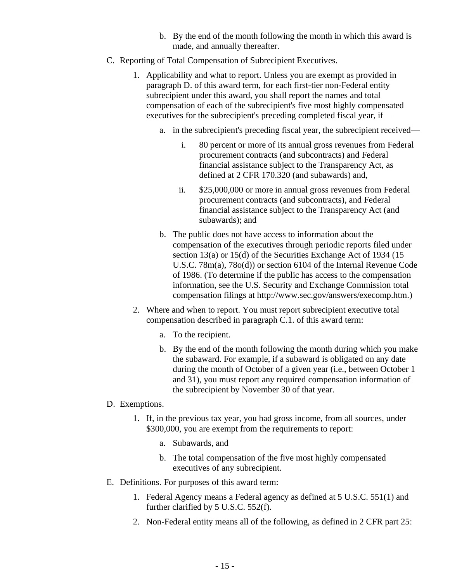- b. By the end of the month following the month in which this award is made, and annually thereafter.
- C. Reporting of Total Compensation of Subrecipient Executives.
	- 1. Applicability and what to report. Unless you are exempt as provided in paragraph D. of this award term, for each first-tier non-Federal entity subrecipient under this award, you shall report the names and total compensation of each of the subrecipient's five most highly compensated executives for the subrecipient's preceding completed fiscal year, if
		- a. in the subrecipient's preceding fiscal year, the subrecipient received
			- i. 80 percent or more of its annual gross revenues from Federal procurement contracts (and subcontracts) and Federal financial assistance subject to the Transparency Act, as defined at 2 CFR 170.320 (and subawards) and,
			- ii. \$25,000,000 or more in annual gross revenues from Federal procurement contracts (and subcontracts), and Federal financial assistance subject to the Transparency Act (and subawards); and
		- b. The public does not have access to information about the compensation of the executives through periodic reports filed under section 13(a) or 15(d) of the Securities Exchange Act of 1934 (15 U.S.C. 78m(a), 78o(d)) or section 6104 of the Internal Revenue Code of 1986. (To determine if the public has access to the compensation information, see the U.S. Security and Exchange Commission total compensation filings at http://www.sec.gov/answers/execomp.htm.)
	- 2. Where and when to report. You must report subrecipient executive total compensation described in paragraph C.1. of this award term:
		- a. To the recipient.
		- b. By the end of the month following the month during which you make the subaward. For example, if a subaward is obligated on any date during the month of October of a given year (i.e., between October 1 and 31), you must report any required compensation information of the subrecipient by November 30 of that year.
- D. Exemptions.
	- 1. If, in the previous tax year, you had gross income, from all sources, under \$300,000, you are exempt from the requirements to report:
		- a. Subawards, and
		- b. The total compensation of the five most highly compensated executives of any subrecipient.
- E. Definitions. For purposes of this award term:
	- 1. Federal Agency means a Federal agency as defined at 5 U.S.C. 551(1) and further clarified by 5 U.S.C. 552(f).
	- 2. Non-Federal entity means all of the following, as defined in 2 CFR part 25: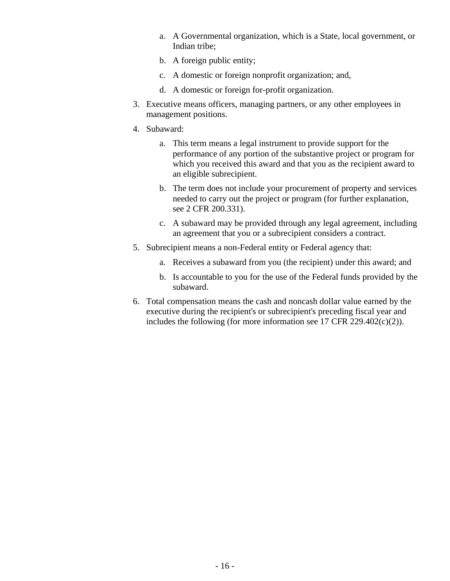- a. A Governmental organization, which is a State, local government, or Indian tribe;
- b. A foreign public entity;
- c. A domestic or foreign nonprofit organization; and,
- d. A domestic or foreign for-profit organization.
- 3. Executive means officers, managing partners, or any other employees in management positions.
- 4. Subaward:
	- a. This term means a legal instrument to provide support for the performance of any portion of the substantive project or program for which you received this award and that you as the recipient award to an eligible subrecipient.
	- b. The term does not include your procurement of property and services needed to carry out the project or program (for further explanation, see 2 CFR 200.331).
	- c. A subaward may be provided through any legal agreement, including an agreement that you or a subrecipient considers a contract.
- 5. Subrecipient means a non-Federal entity or Federal agency that:
	- a. Receives a subaward from you (the recipient) under this award; and
	- b. Is accountable to you for the use of the Federal funds provided by the subaward.
- 6. Total compensation means the cash and noncash dollar value earned by the executive during the recipient's or subrecipient's preceding fiscal year and includes the following (for more information see 17 CFR 229.402(c)(2)).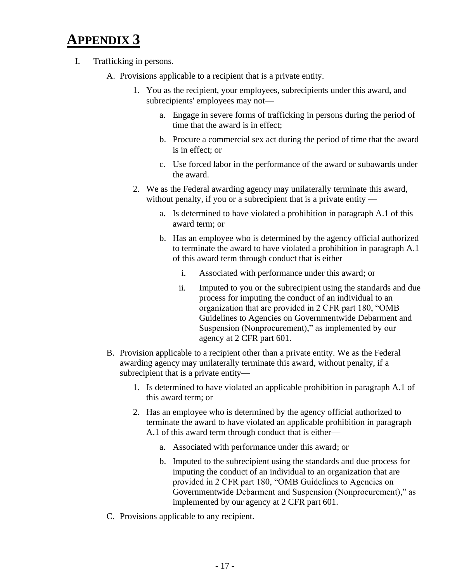- <span id="page-16-0"></span>I. Trafficking in persons.
	- A. Provisions applicable to a recipient that is a private entity.
		- 1. You as the recipient, your employees, subrecipients under this award, and subrecipients' employees may not
			- a. Engage in severe forms of trafficking in persons during the period of time that the award is in effect;
			- b. Procure a commercial sex act during the period of time that the award is in effect; or
			- c. Use forced labor in the performance of the award or subawards under the award.
		- 2. We as the Federal awarding agency may unilaterally terminate this award, without penalty, if you or a subrecipient that is a private entity  $$ 
			- a. Is determined to have violated a prohibition in paragraph A.1 of this award term; or
			- b. Has an employee who is determined by the agency official authorized to terminate the award to have violated a prohibition in paragraph A.1 of this award term through conduct that is either
				- i. Associated with performance under this award; or
				- ii. Imputed to you or the subrecipient using the standards and due process for imputing the conduct of an individual to an organization that are provided in 2 CFR part 180, "OMB Guidelines to Agencies on Governmentwide Debarment and Suspension (Nonprocurement)," as implemented by our agency at 2 CFR part 601.
	- B. Provision applicable to a recipient other than a private entity. We as the Federal awarding agency may unilaterally terminate this award, without penalty, if a subrecipient that is a private entity—
		- 1. Is determined to have violated an applicable prohibition in paragraph A.1 of this award term; or
		- 2. Has an employee who is determined by the agency official authorized to terminate the award to have violated an applicable prohibition in paragraph A.1 of this award term through conduct that is either
			- a. Associated with performance under this award; or
			- b. Imputed to the subrecipient using the standards and due process for imputing the conduct of an individual to an organization that are provided in 2 CFR part 180, "OMB Guidelines to Agencies on Governmentwide Debarment and Suspension (Nonprocurement)," as implemented by our agency at 2 CFR part 601.
	- C. Provisions applicable to any recipient.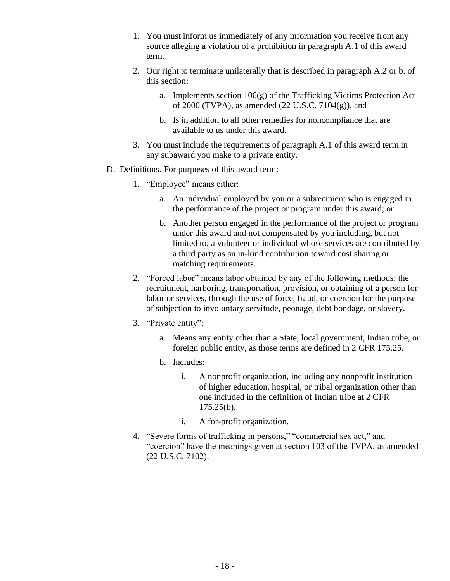- 1. You must inform us immediately of any information you receive from any source alleging a violation of a prohibition in paragraph A.1 of this award term.
- 2. Our right to terminate unilaterally that is described in paragraph A.2 or b. of this section:
	- a. Implements section 106(g) of the Trafficking Victims Protection Act of 2000 (TVPA), as amended (22 U.S.C. 7104(g)), and
	- b. Is in addition to all other remedies for noncompliance that are available to us under this award.
- 3. You must include the requirements of paragraph A.1 of this award term in any subaward you make to a private entity.
- D. Definitions. For purposes of this award term:
	- 1. "Employee" means either:
		- a. An individual employed by you or a subrecipient who is engaged in the performance of the project or program under this award; or
		- b. Another person engaged in the performance of the project or program under this award and not compensated by you including, but not limited to, a volunteer or individual whose services are contributed by a third party as an in-kind contribution toward cost sharing or matching requirements.
	- 2. "Forced labor" means labor obtained by any of the following methods: the recruitment, harboring, transportation, provision, or obtaining of a person for labor or services, through the use of force, fraud, or coercion for the purpose of subjection to involuntary servitude, peonage, debt bondage, or slavery.
	- 3. "Private entity":
		- a. Means any entity other than a State, local government, Indian tribe, or foreign public entity, as those terms are defined in 2 CFR 175.25.
		- b. Includes:
			- i. A nonprofit organization, including any nonprofit institution of higher education, hospital, or tribal organization other than one included in the definition of Indian tribe at 2 CFR 175.25(b).
			- ii. A for-profit organization.
	- 4. "Severe forms of trafficking in persons," "commercial sex act," and "coercion" have the meanings given at section 103 of the TVPA, as amended (22 U.S.C. 7102).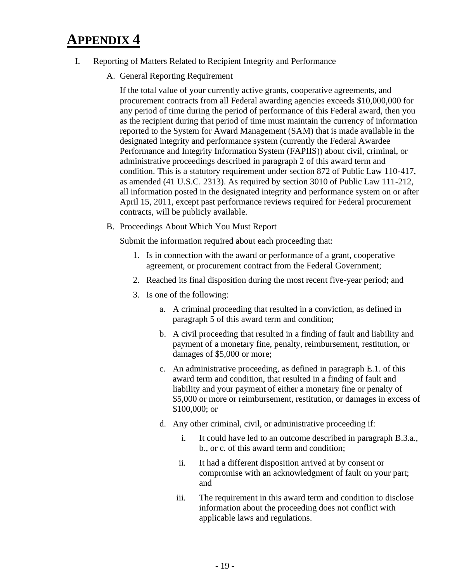- <span id="page-18-0"></span>I. Reporting of Matters Related to Recipient Integrity and Performance
	- A. General Reporting Requirement

If the total value of your currently active grants, cooperative agreements, and procurement contracts from all Federal awarding agencies exceeds \$10,000,000 for any period of time during the period of performance of this Federal award, then you as the recipient during that period of time must maintain the currency of information reported to the System for Award Management (SAM) that is made available in the designated integrity and performance system (currently the Federal Awardee Performance and Integrity Information System (FAPIIS)) about civil, criminal, or administrative proceedings described in paragraph 2 of this award term and condition. This is a statutory requirement under section 872 of Public Law 110-417, as amended (41 U.S.C. 2313). As required by section 3010 of Public Law 111-212, all information posted in the designated integrity and performance system on or after April 15, 2011, except past performance reviews required for Federal procurement contracts, will be publicly available.

B. Proceedings About Which You Must Report

Submit the information required about each proceeding that:

- 1. Is in connection with the award or performance of a grant, cooperative agreement, or procurement contract from the Federal Government;
- 2. Reached its final disposition during the most recent five-year period; and
- 3. Is one of the following:
	- a. A criminal proceeding that resulted in a conviction, as defined in paragraph 5 of this award term and condition;
	- b. A civil proceeding that resulted in a finding of fault and liability and payment of a monetary fine, penalty, reimbursement, restitution, or damages of \$5,000 or more;
	- c. An administrative proceeding, as defined in paragraph E.1. of this award term and condition, that resulted in a finding of fault and liability and your payment of either a monetary fine or penalty of \$5,000 or more or reimbursement, restitution, or damages in excess of \$100,000; or
	- d. Any other criminal, civil, or administrative proceeding if:
		- i. It could have led to an outcome described in paragraph B.3.a., b., or c. of this award term and condition;
		- ii. It had a different disposition arrived at by consent or compromise with an acknowledgment of fault on your part; and
		- iii. The requirement in this award term and condition to disclose information about the proceeding does not conflict with applicable laws and regulations.